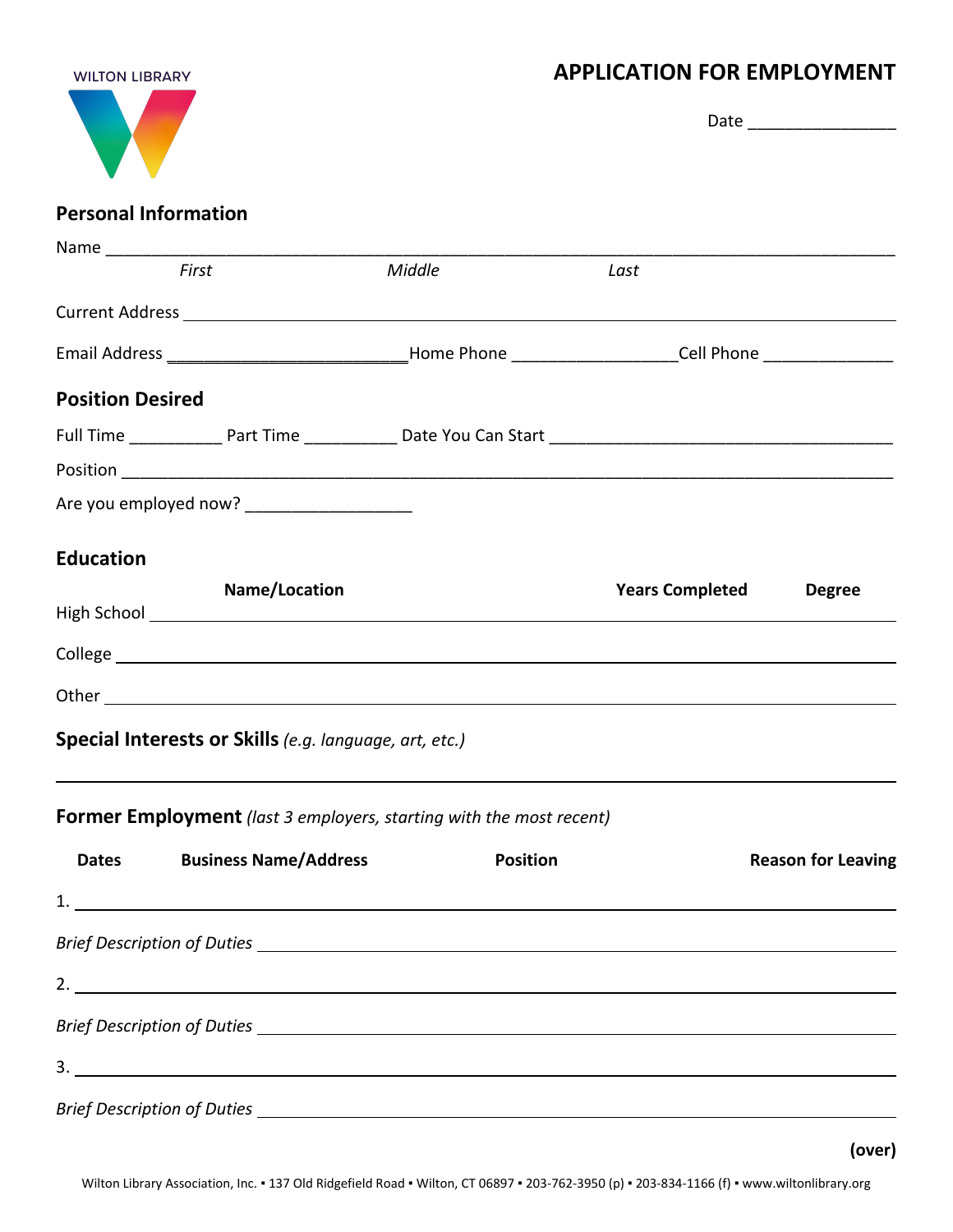## **WILTON LIBRARY** Ń.

## **APPLICATION FOR EMPLOYMENT**

|                         | <b>Personal Information</b>                            |                                                                                                                                                                                                                                |                        |                           |  |
|-------------------------|--------------------------------------------------------|--------------------------------------------------------------------------------------------------------------------------------------------------------------------------------------------------------------------------------|------------------------|---------------------------|--|
|                         |                                                        |                                                                                                                                                                                                                                |                        |                           |  |
|                         | First                                                  | Middle                                                                                                                                                                                                                         | Last                   |                           |  |
|                         |                                                        |                                                                                                                                                                                                                                |                        |                           |  |
|                         |                                                        | Email Address ________________________________Home Phone ______________________Cell Phone ___________________                                                                                                                  |                        |                           |  |
| <b>Position Desired</b> |                                                        |                                                                                                                                                                                                                                |                        |                           |  |
|                         |                                                        |                                                                                                                                                                                                                                |                        |                           |  |
|                         |                                                        |                                                                                                                                                                                                                                |                        |                           |  |
|                         | Are you employed now? ____________________             |                                                                                                                                                                                                                                |                        |                           |  |
| <b>Education</b>        |                                                        |                                                                                                                                                                                                                                |                        |                           |  |
|                         | Name/Location                                          |                                                                                                                                                                                                                                | <b>Years Completed</b> | <b>Degree</b>             |  |
|                         |                                                        | College experiments are the college of the college of the college of the college of the college of the college of the college of the college of the college of the college of the college of the college of the college of the |                        |                           |  |
|                         |                                                        |                                                                                                                                                                                                                                |                        |                           |  |
|                         | Special Interests or Skills (e.g. language, art, etc.) |                                                                                                                                                                                                                                |                        |                           |  |
|                         |                                                        | Former Employment (last 3 employers, starting with the most recent)                                                                                                                                                            |                        |                           |  |
| <b>Dates</b>            | <b>Business Name/Address</b>                           | <b>Position</b>                                                                                                                                                                                                                |                        | <b>Reason for Leaving</b> |  |
|                         |                                                        |                                                                                                                                                                                                                                |                        |                           |  |
|                         |                                                        |                                                                                                                                                                                                                                |                        |                           |  |
|                         |                                                        |                                                                                                                                                                                                                                |                        |                           |  |
|                         |                                                        |                                                                                                                                                                                                                                |                        |                           |  |
|                         |                                                        |                                                                                                                                                                                                                                |                        |                           |  |
|                         |                                                        |                                                                                                                                                                                                                                |                        |                           |  |
|                         |                                                        |                                                                                                                                                                                                                                |                        |                           |  |